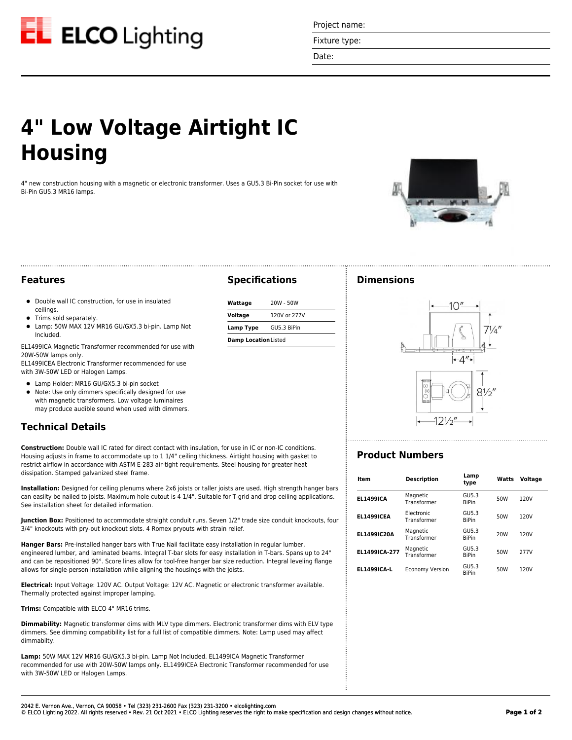

Project name:

Fixture type:

Date:

# **4" Low Voltage Airtight IC Housing**

4" new construction housing with a magnetic or electronic transformer. Uses a GU5.3 Bi-Pin socket for use with Bi-Pin GU5.3 MR16 lamps.

**Specifications**

**Wattage** 20W - 50W **Voltage** 120V or 277V **Lamp Type** GU5.3 BiPin **Damp Location**Listed



#### **Features**

- Double wall IC construction, for use in insulated ceilings.
- Trims sold separately.
- Lamp: 50W MAX 12V MR16 GU/GX5.3 bi-pin. Lamp Not Included.

EL1499ICA Magnetic Transformer recommended for use with 20W-50W lamps only.

EL1499ICEA Electronic Transformer recommended for use with 3W-50W LED or Halogen Lamps.

- Lamp Holder: MR16 GU/GX5.3 bi-pin socket
- Note: Use only dimmers specifically designed for use with magnetic transformers. Low voltage luminaires may produce audible sound when used with dimmers.

### **Technical Details**

**Construction:** Double wall IC rated for direct contact with insulation, for use in IC or non-IC conditions. Housing adjusts in frame to accommodate up to 1 1/4" ceiling thickness. Airtight housing with gasket to restrict airflow in accordance with ASTM E-283 air-tight requirements. Steel housing for greater heat dissipation. Stamped galvanized steel frame.

**Installation:** Designed for ceiling plenums where 2x6 joists or taller joists are used. High strength hanger bars can easilty be nailed to joists. Maximum hole cutout is 4 1/4". Suitable for T-grid and drop ceiling applications. See installation sheet for detailed information.

**Junction Box:** Positioned to accommodate straight conduit runs. Seven 1/2" trade size conduit knockouts, four 3/4" knockouts with pry-out knockout slots. 4 Romex pryouts with strain relief.

**Hanger Bars:** Pre-installed hanger bars with True Nail facilitate easy installation in regular lumber, engineered lumber, and laminated beams. Integral T-bar slots for easy installation in T-bars. Spans up to 24" and can be repositioned 90°. Score lines allow for tool-free hanger bar size reduction. Integral leveling flange allows for single-person installation while aligning the housings with the joists.

**Electrical:** Input Voltage: 120V AC. Output Voltage: 12V AC. Magnetic or electronic transformer available. Thermally protected against improper lamping.

**Trims:** Compatible with ELCO 4" MR16 trims.

**Dimmability:** Magnetic transformer dims with MLV type dimmers. Electronic transformer dims with ELV type dimmers. See dimming compatibility list for a full list of compatible dimmers. Note: Lamp used may affect dimmabilty.

**Lamp:** 50W MAX 12V MR16 GU/GX5.3 bi-pin. Lamp Not Included. EL1499ICA Magnetic Transformer recommended for use with 20W-50W lamps only. EL1499ICEA Electronic Transformer recommended for use with 3W-50W LED or Halogen Lamps.

#### **Dimensions**



## **Product Numbers**

| Item               | <b>Description</b>        | Lamp<br>type          | Watts           | Voltage |
|--------------------|---------------------------|-----------------------|-----------------|---------|
| <b>EL1499ICA</b>   | Magnetic<br>Transformer   | GU5.3<br><b>RiPin</b> | 50W             | 120V    |
| <b>EL1499ICEA</b>  | Electronic<br>Transformer | GU5.3<br><b>BiPin</b> | 50W             | 120V    |
| <b>EL1499IC20A</b> | Magnetic<br>Transformer   | GU5.3<br><b>BiPin</b> | 20 <sub>W</sub> | 120V    |
| EL1499ICA-277      | Magnetic<br>Transformer   | GU5.3<br><b>BiPin</b> | 50W             | 277V    |
| <b>EL1499ICA-L</b> | <b>Economy Version</b>    | GU5.3<br><b>BiPin</b> | 50W             | 120V    |